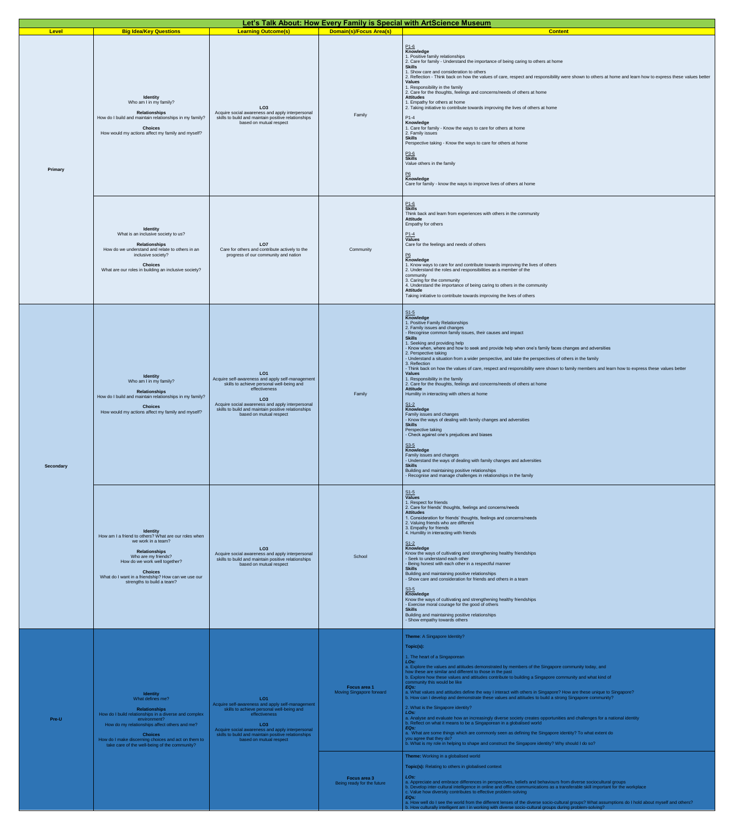| Level            |                                                                                                                                                                                                                                                                                                          |                                                                                                                                                                                                                                                                                            |                                                                                        | Let's Talk About: How Every Family is Special with ArtScience Museum                                                                                                                                                                                                                                                                                                                                                                                                                                                                                                                                                                                                                                                                                                                                                                                                                                                                                                                                                                                                                                                                                                                                                                                                                                                                                                                                                                                                                                                                                                                                                        |
|------------------|----------------------------------------------------------------------------------------------------------------------------------------------------------------------------------------------------------------------------------------------------------------------------------------------------------|--------------------------------------------------------------------------------------------------------------------------------------------------------------------------------------------------------------------------------------------------------------------------------------------|----------------------------------------------------------------------------------------|-----------------------------------------------------------------------------------------------------------------------------------------------------------------------------------------------------------------------------------------------------------------------------------------------------------------------------------------------------------------------------------------------------------------------------------------------------------------------------------------------------------------------------------------------------------------------------------------------------------------------------------------------------------------------------------------------------------------------------------------------------------------------------------------------------------------------------------------------------------------------------------------------------------------------------------------------------------------------------------------------------------------------------------------------------------------------------------------------------------------------------------------------------------------------------------------------------------------------------------------------------------------------------------------------------------------------------------------------------------------------------------------------------------------------------------------------------------------------------------------------------------------------------------------------------------------------------------------------------------------------------|
| Primary          | <b>Big Idea/Key Questions</b><br>Identity<br>Who am I in my family?<br><b>Relationships</b><br>How do I build and maintain relationships in my family?<br><b>Choices</b><br>How would my actions affect my family and myself?                                                                            | <b>Learning Outcome(s)</b><br>LO <sub>3</sub><br>Acquire social awareness and apply interpersonal<br>skills to build and maintain positive relationships<br>based on mutual respect                                                                                                        | <b>Domain(s)/Focus Area(s)</b><br>Family                                               | <b>Content</b><br>$\frac{P1-6}{K}$ Knowledge<br>1. Positive family relationships<br>2. Care for family - Understand the importance of being caring to others at home<br><b>Skills</b><br>1. Show care and consideration to others<br>2. Reflection - Think back on how the values of care, respect and responsibility were shown to others at home and learn how to express these values better<br><b>Values</b><br>1. Responsibility in the family<br>2. Care for the thoughts, feelings and concerns/needs of others at home<br><b>Attitudes</b><br>1. Empathy for others at home<br>2. Taking initiative to contribute towards improving the lives of others at home<br>$\frac{P1-4}{K}$<br>1. Care for family - Know the ways to care for others at home<br>2. Family issues<br><b>Skills</b><br>Perspective taking - Know the ways to care for others at home<br>$\frac{\mathsf{P3}\text{-}\mathsf{6}}{\mathsf{Skills}}$<br>Value others in the family<br>$\underline{P6}$<br>Knowledge<br>Care for family - know the ways to improve lives of others at home                                                                                                                                                                                                                                                                                                                                                                                                                                                                                                                                                          |
|                  | <b>Identity</b><br>What is an inclusive society to us?<br><b>Relationships</b><br>How do we understand and relate to others in an<br>inclusive society?<br><b>Choices</b><br>What are our roles in building an inclusive society?                                                                        | LO <sub>7</sub><br>Care for others and contribute actively to the<br>progress of our community and nation                                                                                                                                                                                  | Community                                                                              | $\frac{P1-6}{Skills}$<br>Think back and learn from experiences with others in the community<br><b>Attitude</b><br>Empathy for others<br>$\frac{P1-4}{ValueS}$<br>Care for the feelings and needs of others<br>$\frac{P6}{K}$ Knowledge<br>1. Know ways to care for and contribute towards improving the lives of others<br>2. Understand the roles and responsibilities as a member of the<br>community<br>3. Caring for the community<br>4. Understand the importance of being caring to others in the community<br><b>Attitude</b><br>Taking initiative to contribute towards improving the lives of others                                                                                                                                                                                                                                                                                                                                                                                                                                                                                                                                                                                                                                                                                                                                                                                                                                                                                                                                                                                                               |
| <b>Secondary</b> | <b>Identity</b><br>Who am I in my family?<br><b>Relationships</b><br>How do I build and maintain relationships in my family?<br><b>Choices</b><br>How would my actions affect my family and myself?                                                                                                      | LO <sub>1</sub><br>Acquire self-awareness and apply self-management<br>skills to achieve personal well-being and<br>effectiveness<br>LO <sub>3</sub><br>Acquire social awareness and apply interpersonal<br>skills to build and maintain positive relationships<br>based on mutual respect | Family                                                                                 | $\frac{\mathsf{S1-5}}{\mathsf{Knowledge}}$<br>1. Positive Family Relationships<br>2. Family issues and changes<br>- Recognise common family issues, their causes and impact<br><b>Skills</b><br>1. Seeking and providing help<br>- Know when, where and how to seek and provide help when one's family faces changes and adversities<br>2. Perspective taking<br>- Understand a situation from a wider perspective, and take the perspectives of others in the family<br>3. Reflection<br>- Think back on how the values of care, respect and responsibility were shown to family members and learn how to express these values better<br><b>Values</b><br>1. Responsibility in the family<br>2. Care for the thoughts, feelings and concerns/needs of others at home<br><b>Attitude</b><br>Humility in interacting with others at home<br>$\frac{\mathsf{S1-2}}{\mathsf{Knowledge}}$<br>Family issues and changes<br>- Know the ways of dealing with family changes and adversities<br><b>Skills</b><br>Perspective taking<br>- Check against one's prejudices and biases<br>$\frac{\text{S3-5}}{\text{Knowledge}}$<br>Family issues and changes<br>- Understand the ways of dealing with family changes and adversities<br><b>Skills</b><br>Building and maintaining positive relationships<br>- Recognise and manage challenges in relationships in the family                                                                                                                                                                                                                                                           |
|                  | <b>Identity</b><br>How am I a friend to others? What are our roles when<br>we work in a team?<br><b>Relationships</b><br>Who are my friends?<br>How do we work well together?<br><b>Choices</b><br>What do I want in a friendship? How can we use our<br>strengths to build a team?                      | LO <sub>3</sub><br>Acquire social awareness and apply interpersonal<br>skills to build and maintain positive relationships<br>based on mutual respect                                                                                                                                      | School                                                                                 | $rac{S1-5}{Values}$<br>1. Respect for friends<br>2. Care for friends' thoughts, feelings and concerns/needs<br><b>Attitudes</b><br>1. Consideration for friends' thoughts, feelings and concerns/needs<br>2. Valuing friends who are different<br>3. Empathy for friends<br>4. Humility in interacting with friends<br>$\frac{\mathsf{S1-2}}{\mathsf{Knowledge}}$<br>Know the ways of cultivating and strengthening healthy friendships<br>- Seek to understand each other<br>- Being honest with each other in a respectful manner<br><b>Skills</b><br>Building and maintaining positive relationships<br>- Show care and consideration for friends and others in a team<br>$\frac{\mathsf{S3-5}}{\mathsf{Knowledge}}$<br>Know the ways of cultivating and strengthening healthy friendships<br>- Exercise moral courage for the good of others<br><b>Skills</b><br>Building and maintaining positive relationships<br>- Show empathy towards others                                                                                                                                                                                                                                                                                                                                                                                                                                                                                                                                                                                                                                                                       |
| Pre-U            | <b>Identity</b><br>What defines me?<br>Relationships<br>How do I build relationships in a diverse and complex<br>environment?<br>How do my relationships affect others and me?<br><b>Choices</b><br>How do I make discerning choices and act on them to<br>take care of the well-being of the community? | LO <sub>1</sub><br>Acquire self-awareness and apply self-management<br>skills to achieve personal well-being and<br>effectiveness<br>LO <sub>3</sub><br>Acquire social awareness and apply interpersonal<br>skills to build and maintain positive relationships<br>based on mutual respect | Focus area 1<br>Moving Singapore forward<br>Focus area 3<br>Being ready for the future | Theme: A Singapore Identity?<br>Topic(s):<br>1. The heart of a Singaporean<br>LO <sub>s:</sub><br>a. Explore the values and attitudes demonstrated by members of the Singapore community today, and<br>how these are similar and different to those in the past<br>b. Explore how these values and attitudes contribute to building a Singapore community and what kind of<br>community this would be like<br>EQs:<br>a. What values and attitudes define the way I interact with others in Singapore? How are these unique to Singapore?<br>b. How can I develop and demonstrate these values and attitudes to build a strong Singapore community?<br>2. What is the Singapore identity?<br>LO <sub>S</sub> :<br>a. Analyse and evaluate how an increasingly diverse society creates opportunities and challenges for a national identity<br>b. Reflect on what it means to be a Singaporean in a globalised world<br>EQ <sub>S</sub> :<br>a. What are some things which are commonly seen as defining the Singapore identity? To what extent do<br>you agree that they do?<br>b. What is my role in helping to shape and construct the Singapore identity? Why should I do so?<br>Theme: Working in a globalised world<br>Topic(s): Relating to others in globalised context<br>LO <sub>s:</sub><br>a. Appreciate and embrace differences in perspectives, beliefs and behaviours from diverse sociocultural groups<br>b. Develop inter-cultural intelligence in online and offline communications as a transferable skill important for the workplace<br>c. Value how diversity contributes to effective problem-solving |
|                  |                                                                                                                                                                                                                                                                                                          |                                                                                                                                                                                                                                                                                            |                                                                                        | EQ <sub>S</sub> :<br>a. How well do I see the world from the different lenses of the diverse socio-cultural groups? What assumptions do I hold about myself and others?<br>b. How culturally intelligent am I in working with diverse socio-cultural groups during problem-solving?                                                                                                                                                                                                                                                                                                                                                                                                                                                                                                                                                                                                                                                                                                                                                                                                                                                                                                                                                                                                                                                                                                                                                                                                                                                                                                                                         |